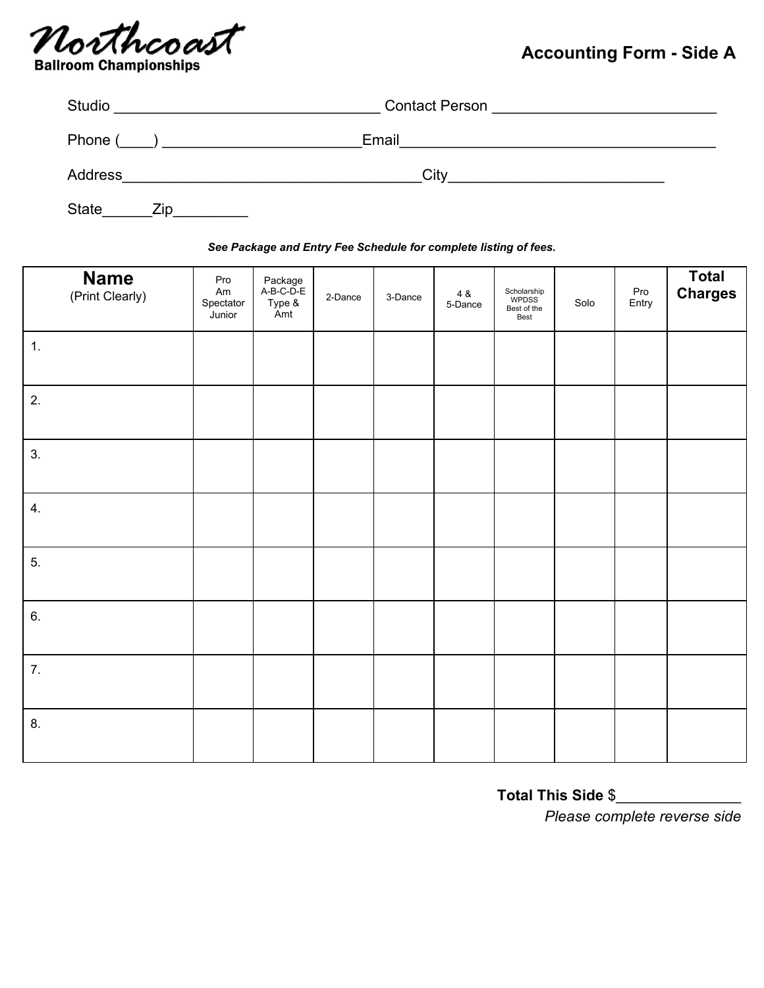

## **Accounting Form - Side A**

| Studio       | <b>Contact Person</b> |  |  |  |  |
|--------------|-----------------------|--|--|--|--|
| Phone (      | Email                 |  |  |  |  |
| Address      | City                  |  |  |  |  |
| State<br>∠ıp |                       |  |  |  |  |

## *See Package and Entry Fee Schedule for complete listing of fees.*

| <b>Name</b><br>(Print Clearly) | Pro<br>Am<br>Spectator<br>Junior | Package<br>A-B-C-D-E<br>Type &<br>Amt | 2-Dance | 3-Dance | 4 &<br>5-Dance | Scholarship<br>WPDSS<br>Best of the<br>Best | Solo | Pro<br>Entry | Total<br>Charges |
|--------------------------------|----------------------------------|---------------------------------------|---------|---------|----------------|---------------------------------------------|------|--------------|------------------|
| 1.                             |                                  |                                       |         |         |                |                                             |      |              |                  |
| 2.                             |                                  |                                       |         |         |                |                                             |      |              |                  |
| 3.                             |                                  |                                       |         |         |                |                                             |      |              |                  |
| 4.                             |                                  |                                       |         |         |                |                                             |      |              |                  |
| 5.                             |                                  |                                       |         |         |                |                                             |      |              |                  |
| 6.                             |                                  |                                       |         |         |                |                                             |      |              |                  |
| 7.                             |                                  |                                       |         |         |                |                                             |      |              |                  |
| 8.                             |                                  |                                       |         |         |                |                                             |      |              |                  |

**Total This Side** \$\_\_\_\_\_\_\_\_\_\_\_\_\_\_\_

*Please complete reverse side*